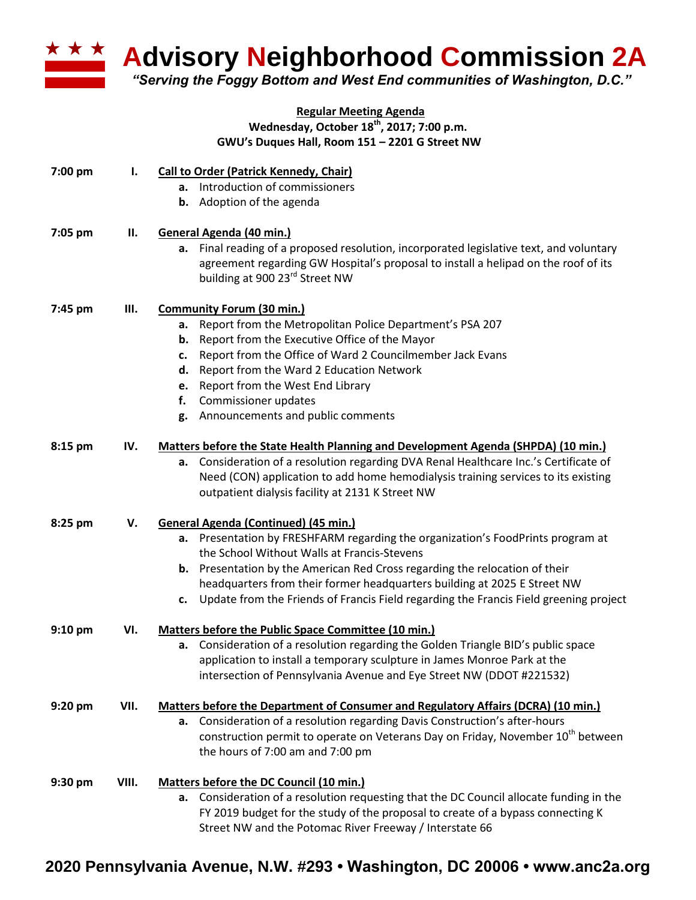

**Advisory Neighborhood Commission 2A** 

*"Serving the Foggy Bottom and West End communities of Washington, D.C."*

## **Regular Meeting Agenda Wednesday, October 18th , 2017; 7:00 p.m. GWU's Duques Hall, Room 151 – 2201 G Street NW**

| 7:00 pm   | ı.    | <b>Call to Order (Patrick Kennedy, Chair)</b><br>a. Introduction of commissioners<br><b>b.</b> Adoption of the agenda                                                                                                                                                                                                                                                                                                                   |
|-----------|-------|-----------------------------------------------------------------------------------------------------------------------------------------------------------------------------------------------------------------------------------------------------------------------------------------------------------------------------------------------------------------------------------------------------------------------------------------|
| 7:05 pm   | П.    | General Agenda (40 min.)<br>a. Final reading of a proposed resolution, incorporated legislative text, and voluntary<br>agreement regarding GW Hospital's proposal to install a helipad on the roof of its<br>building at 900 23rd Street NW                                                                                                                                                                                             |
| 7:45 pm   | Ш.    | <b>Community Forum (30 min.)</b><br>Report from the Metropolitan Police Department's PSA 207<br>a.<br>Report from the Executive Office of the Mayor<br>b.<br>Report from the Office of Ward 2 Councilmember Jack Evans<br>c.<br>d. Report from the Ward 2 Education Network<br>Report from the West End Library<br>e.<br>Commissioner updates<br>f.<br>Announcements and public comments<br>g.                                          |
| 8:15 pm   | IV.   | <b>Matters before the State Health Planning and Development Agenda (SHPDA) (10 min.)</b><br>Consideration of a resolution regarding DVA Renal Healthcare Inc.'s Certificate of<br>а.<br>Need (CON) application to add home hemodialysis training services to its existing<br>outpatient dialysis facility at 2131 K Street NW                                                                                                           |
| 8:25 pm   | V.    | <b>General Agenda (Continued) (45 min.)</b><br>a. Presentation by FRESHFARM regarding the organization's FoodPrints program at<br>the School Without Walls at Francis-Stevens<br>Presentation by the American Red Cross regarding the relocation of their<br>b.<br>headquarters from their former headquarters building at 2025 E Street NW<br>c. Update from the Friends of Francis Field regarding the Francis Field greening project |
| $9:10$ pm | VI.   | Matters before the Public Space Committee (10 min.)<br>a. Consideration of a resolution regarding the Golden Triangle BID's public space<br>application to install a temporary sculpture in James Monroe Park at the<br>intersection of Pennsylvania Avenue and Eye Street NW (DDOT #221532)                                                                                                                                            |
| 9:20 pm   | VII.  | Matters before the Department of Consumer and Regulatory Affairs (DCRA) (10 min.)<br>a. Consideration of a resolution regarding Davis Construction's after-hours<br>construction permit to operate on Veterans Day on Friday, November 10 <sup>th</sup> between<br>the hours of 7:00 am and 7:00 pm                                                                                                                                     |
| 9:30 pm   | VIII. | Matters before the DC Council (10 min.)<br>Consideration of a resolution requesting that the DC Council allocate funding in the<br>а.<br>FY 2019 budget for the study of the proposal to create of a bypass connecting K<br>Street NW and the Potomac River Freeway / Interstate 66                                                                                                                                                     |